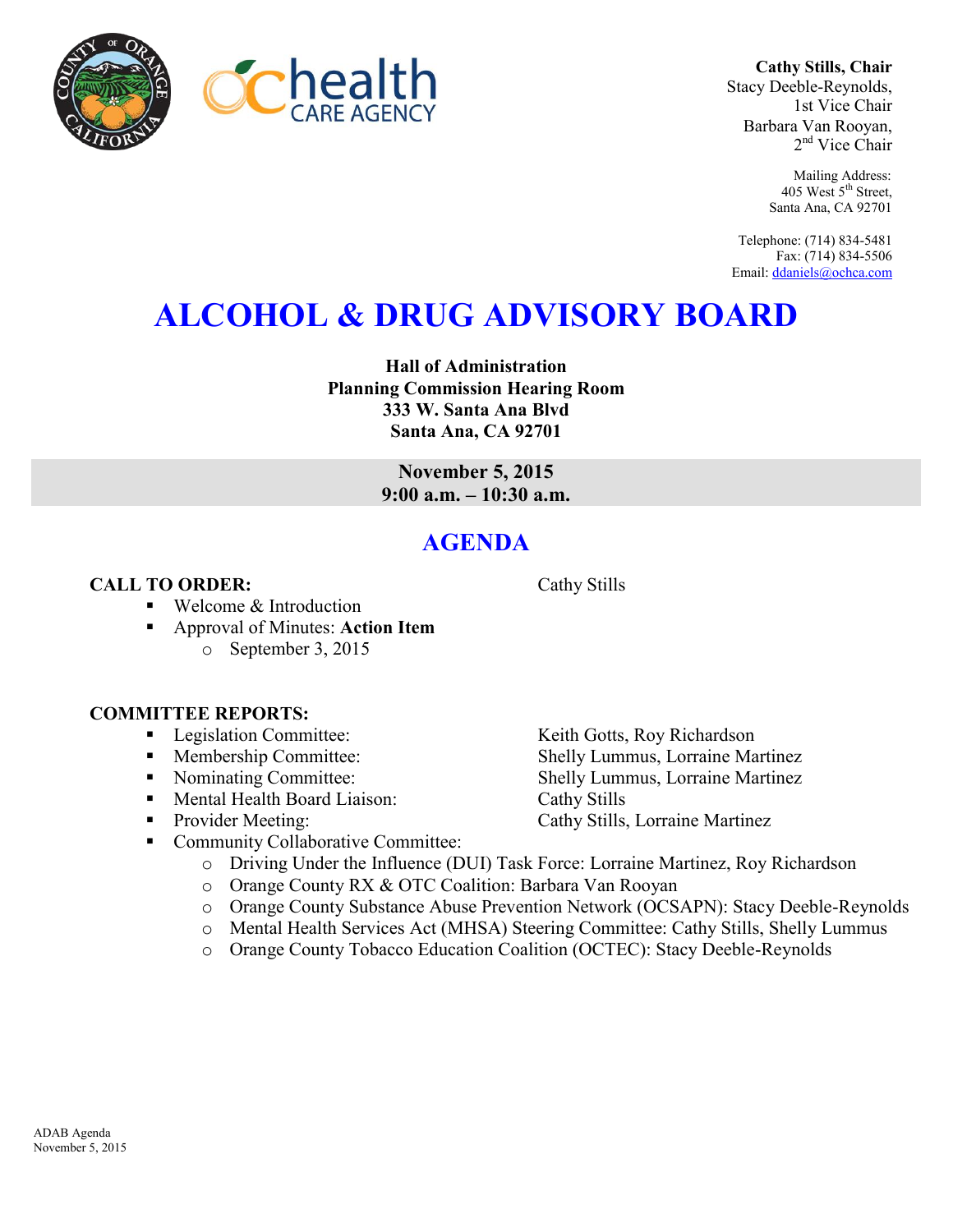



**Cathy Stills, Chair** Stacy Deeble-Reynolds, 1st Vice Chair Barbara Van Rooyan, 2<sup>nd</sup> Vice Chair

> Mailing Address: 405 West 5<sup>th</sup> Street, Santa Ana, CA 92701

Telephone: (714) 834-5481 Fax: (714) 834-5506 Email[: ddaniels@ochca.com](mailto:ddaniels@ochca.com)

# **ALCOHOL & DRUG ADVISORY BOARD**

**Hall of Administration Planning Commission Hearing Room 333 W. Santa Ana Blvd Santa Ana, CA 92701** 

> **November 5, 2015 9:00 a.m. – 10:30 a.m.**

## **AGENDA**

### **CALL TO ORDER:** Cathy Stills

■ Welcome & Introduction

 Approval of Minutes: **Action Item** o September 3, 2015

### **COMMITTEE REPORTS:**

- 
- 
- 
- Mental Health Board Liaison: Cathy Stills
- 
- Community Collaborative Committee:
	- o Driving Under the Influence (DUI) Task Force: Lorraine Martinez, Roy Richardson
	- o Orange County RX & OTC Coalition: Barbara Van Rooyan
	- o Orange County Substance Abuse Prevention Network (OCSAPN): Stacy Deeble-Reynolds
	- o Mental Health Services Act (MHSA) Steering Committee: Cathy Stills, Shelly Lummus
	- o Orange County Tobacco Education Coalition (OCTEC): Stacy Deeble-Reynolds

■ Legislation Committee: Keith Gotts, Roy Richardson • Membership Committee: Shelly Lummus, Lorraine Martinez • Nominating Committee: Shelly Lummus, Lorraine Martinez ■ Provider Meeting: Cathy Stills, Lorraine Martinez